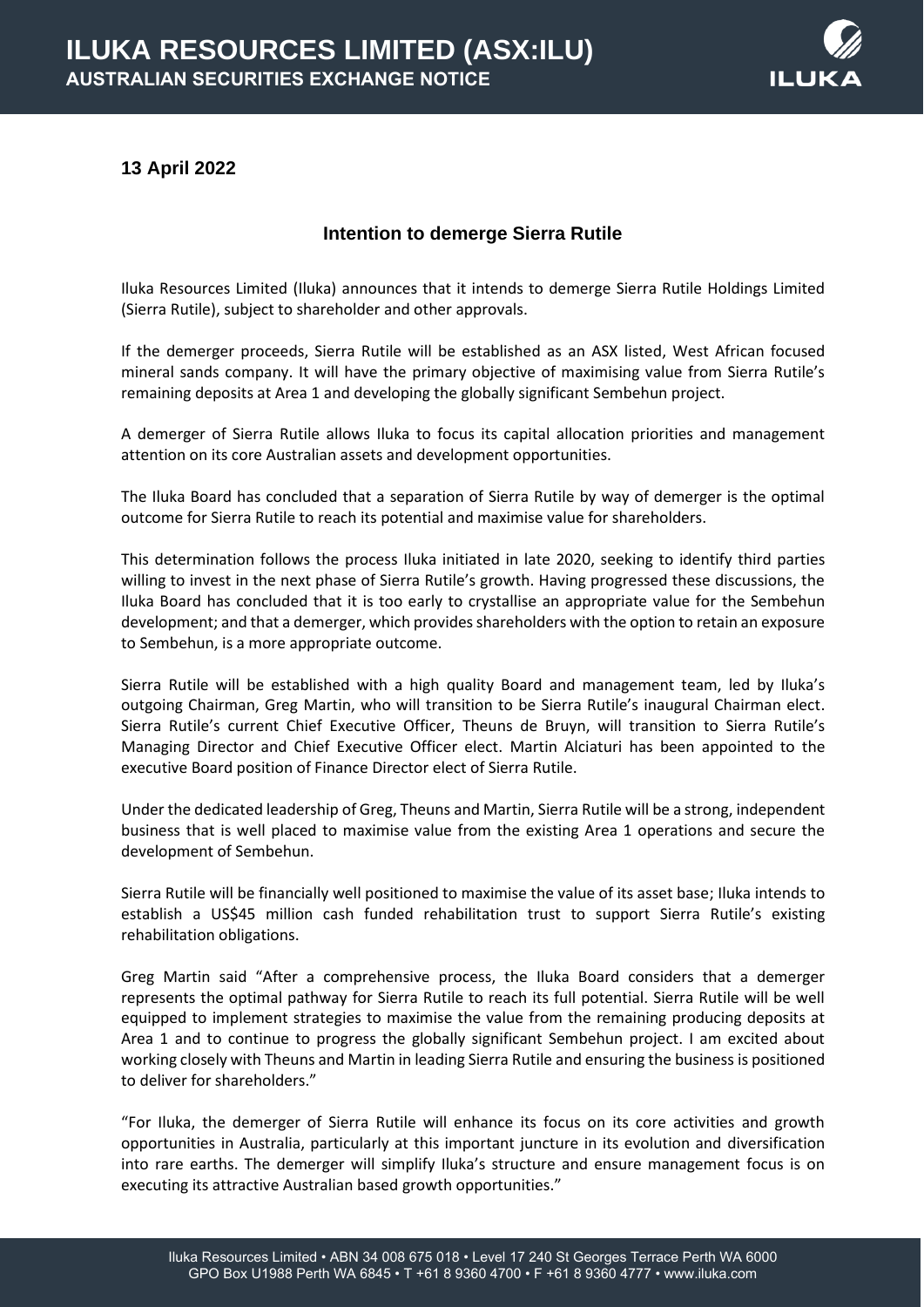

# **13 April 2022**

## **Intention to demerge Sierra Rutile**

Iluka Resources Limited (Iluka) announces that it intends to demerge Sierra Rutile Holdings Limited (Sierra Rutile), subject to shareholder and other approvals.

If the demerger proceeds, Sierra Rutile will be established as an ASX listed, West African focused mineral sands company. It will have the primary objective of maximising value from Sierra Rutile's remaining deposits at Area 1 and developing the globally significant Sembehun project.

A demerger of Sierra Rutile allows Iluka to focus its capital allocation priorities and management attention on its core Australian assets and development opportunities.

The Iluka Board has concluded that a separation of Sierra Rutile by way of demerger is the optimal outcome for Sierra Rutile to reach its potential and maximise value for shareholders.

This determination follows the process Iluka initiated in late 2020, seeking to identify third parties willing to invest in the next phase of Sierra Rutile's growth. Having progressed these discussions, the Iluka Board has concluded that it is too early to crystallise an appropriate value for the Sembehun development; and that a demerger, which provides shareholders with the option to retain an exposure to Sembehun, is a more appropriate outcome.

Sierra Rutile will be established with a high quality Board and management team, led by Iluka's outgoing Chairman, Greg Martin, who will transition to be Sierra Rutile's inaugural Chairman elect. Sierra Rutile's current Chief Executive Officer, Theuns de Bruyn, will transition to Sierra Rutile's Managing Director and Chief Executive Officer elect. Martin Alciaturi has been appointed to the executive Board position of Finance Director elect of Sierra Rutile.

Under the dedicated leadership of Greg, Theuns and Martin, Sierra Rutile will be a strong, independent business that is well placed to maximise value from the existing Area 1 operations and secure the development of Sembehun.

Sierra Rutile will be financially well positioned to maximise the value of its asset base; Iluka intends to establish a US\$45 million cash funded rehabilitation trust to support Sierra Rutile's existing rehabilitation obligations.

Greg Martin said "After a comprehensive process, the Iluka Board considers that a demerger represents the optimal pathway for Sierra Rutile to reach its full potential. Sierra Rutile will be well equipped to implement strategies to maximise the value from the remaining producing deposits at Area 1 and to continue to progress the globally significant Sembehun project. I am excited about working closely with Theuns and Martin in leading Sierra Rutile and ensuring the business is positioned to deliver for shareholders."

"For Iluka, the demerger of Sierra Rutile will enhance its focus on its core activities and growth opportunities in Australia, particularly at this important juncture in its evolution and diversification into rare earths. The demerger will simplify Iluka's structure and ensure management focus is on executing its attractive Australian based growth opportunities."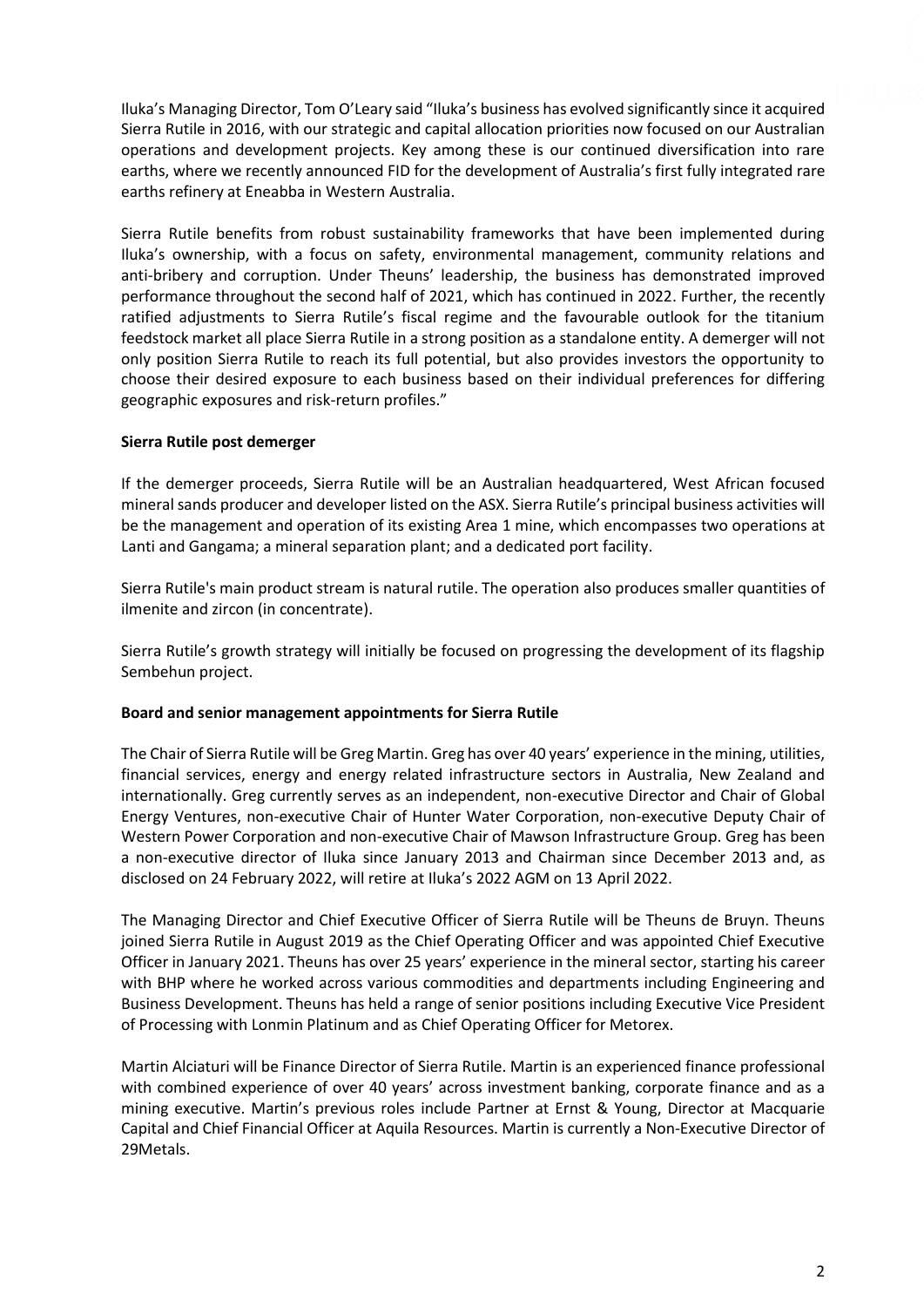Iluka's Managing Director, Tom O'Leary said "Iluka's business has evolved significantly since it acquired Sierra Rutile in 2016, with our strategic and capital allocation priorities now focused on our Australian operations and development projects. Key among these is our continued diversification into rare earths, where we recently announced FID for the development of Australia's first fully integrated rare earths refinery at Eneabba in Western Australia.

Sierra Rutile benefits from robust sustainability frameworks that have been implemented during Iluka's ownership, with a focus on safety, environmental management, community relations and anti-bribery and corruption. Under Theuns' leadership, the business has demonstrated improved performance throughout the second half of 2021, which has continued in 2022. Further, the recently ratified adjustments to Sierra Rutile's fiscal regime and the favourable outlook for the titanium feedstock market all place Sierra Rutile in a strong position as a standalone entity. A demerger will not only position Sierra Rutile to reach its full potential, but also provides investors the opportunity to choose their desired exposure to each business based on their individual preferences for differing geographic exposures and risk-return profiles."

### **Sierra Rutile post demerger**

If the demerger proceeds, Sierra Rutile will be an Australian headquartered, West African focused mineral sands producer and developer listed on the ASX. Sierra Rutile's principal business activities will be the management and operation of its existing Area 1 mine, which encompasses two operations at Lanti and Gangama; a mineral separation plant; and a dedicated port facility.

Sierra Rutile's main product stream is natural rutile. The operation also produces smaller quantities of ilmenite and zircon (in concentrate).

Sierra Rutile's growth strategy will initially be focused on progressing the development of its flagship Sembehun project.

### **Board and senior management appointments for Sierra Rutile**

The Chair of Sierra Rutile will be Greg Martin. Greg has over 40 years' experience in the mining, utilities, financial services, energy and energy related infrastructure sectors in Australia, New Zealand and internationally. Greg currently serves as an independent, non-executive Director and Chair of Global Energy Ventures, non-executive Chair of Hunter Water Corporation, non-executive Deputy Chair of Western Power Corporation and non-executive Chair of Mawson Infrastructure Group. Greg has been a non-executive director of Iluka since January 2013 and Chairman since December 2013 and, as disclosed on 24 February 2022, will retire at Iluka's 2022 AGM on 13 April 2022.

The Managing Director and Chief Executive Officer of Sierra Rutile will be Theuns de Bruyn. Theuns joined Sierra Rutile in August 2019 as the Chief Operating Officer and was appointed Chief Executive Officer in January 2021. Theuns has over 25 years' experience in the mineral sector, starting his career with BHP where he worked across various commodities and departments including Engineering and Business Development. Theuns has held a range of senior positions including Executive Vice President of Processing with Lonmin Platinum and as Chief Operating Officer for Metorex.

Martin Alciaturi will be Finance Director of Sierra Rutile. Martin is an experienced finance professional with combined experience of over 40 years' across investment banking, corporate finance and as a mining executive. Martin's previous roles include Partner at Ernst & Young, Director at Macquarie Capital and Chief Financial Officer at Aquila Resources. Martin is currently a Non-Executive Director of 29Metals.